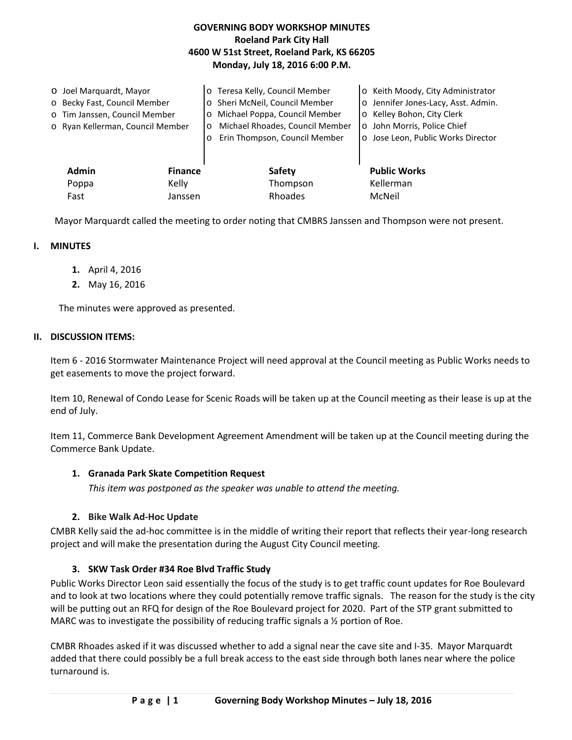## **GOVERNING BODY WORKSHOP MINUTES Roeland Park City Hall 4600 W 51st Street, Roeland Park, KS 66205 Monday, July 18, 2016 6:00 P.M.**

| O Joel Marquardt, Mayor<br>o Becky Fast, Council Member<br>o Tim Janssen, Council Member<br>o Ryan Kellerman, Council Member |                | o Teresa Kelly, Council Member<br>Sheri McNeil, Council Member<br>$\circ$<br>Michael Poppa, Council Member<br>$\circ$<br>Michael Rhoades, Council Member<br>$\circ$<br>Erin Thompson, Council Member<br>$\Omega$ | o Keith Moody, City Administrator<br>o Jennifer Jones-Lacy, Asst. Admin.<br>o Kelley Bohon, City Clerk<br>o John Morris, Police Chief<br>o Jose Leon, Public Works Director |
|------------------------------------------------------------------------------------------------------------------------------|----------------|------------------------------------------------------------------------------------------------------------------------------------------------------------------------------------------------------------------|-----------------------------------------------------------------------------------------------------------------------------------------------------------------------------|
| <b>Admin</b>                                                                                                                 | <b>Finance</b> | <b>Safety</b>                                                                                                                                                                                                    | <b>Public Works</b>                                                                                                                                                         |
| Poppa                                                                                                                        | Kelly          | Thompson                                                                                                                                                                                                         | Kellerman                                                                                                                                                                   |
| Fast                                                                                                                         | Janssen        | Rhoades                                                                                                                                                                                                          | McNeil                                                                                                                                                                      |

Mayor Marquardt called the meeting to order noting that CMBRS Janssen and Thompson were not present.

### **I. MINUTES**

- **1.** April 4, 2016
- **2.** May 16, 2016

The minutes were approved as presented.

### **II. DISCUSSION ITEMS:**

Item 6 - 2016 Stormwater Maintenance Project will need approval at the Council meeting as Public Works needs to get easements to move the project forward.

Item 10, Renewal of Condo Lease for Scenic Roads will be taken up at the Council meeting as their lease is up at the end of July.

Item 11, Commerce Bank Development Agreement Amendment will be taken up at the Council meeting during the Commerce Bank Update.

### **1. Granada Park Skate Competition Request**

*This item was postponed as the speaker was unable to attend the meeting.*

## **2. Bike Walk Ad-Hoc Update**

CMBR Kelly said the ad-hoc committee is in the middle of writing their report that reflects their year-long research project and will make the presentation during the August City Council meeting.

## **3. SKW Task Order #34 Roe Blvd Traffic Study**

Public Works Director Leon said essentially the focus of the study is to get traffic count updates for Roe Boulevard and to look at two locations where they could potentially remove traffic signals. The reason for the study is the city will be putting out an RFQ for design of the Roe Boulevard project for 2020. Part of the STP grant submitted to MARC was to investigate the possibility of reducing traffic signals a  $\frac{1}{2}$  portion of Roe.

CMBR Rhoades asked if it was discussed whether to add a signal near the cave site and I-35. Mayor Marquardt added that there could possibly be a full break access to the east side through both lanes near where the police turnaround is.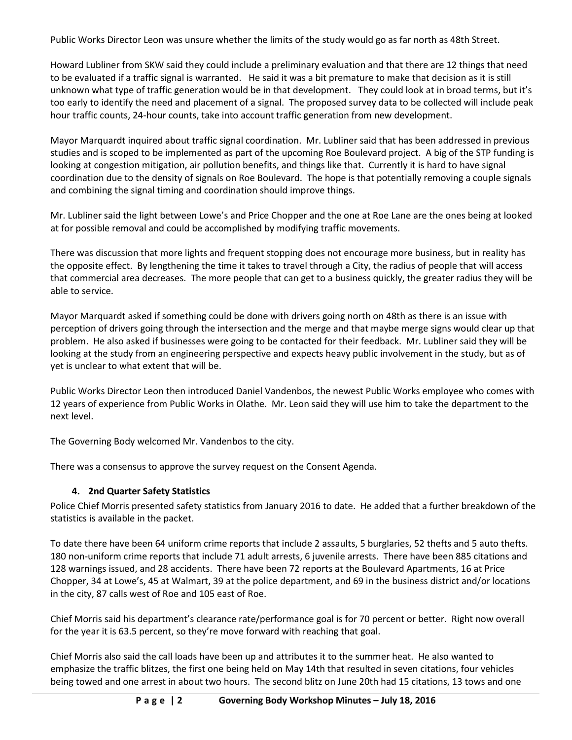Public Works Director Leon was unsure whether the limits of the study would go as far north as 48th Street.

Howard Lubliner from SKW said they could include a preliminary evaluation and that there are 12 things that need to be evaluated if a traffic signal is warranted. He said it was a bit premature to make that decision as it is still unknown what type of traffic generation would be in that development. They could look at in broad terms, but it's too early to identify the need and placement of a signal. The proposed survey data to be collected will include peak hour traffic counts, 24-hour counts, take into account traffic generation from new development.

Mayor Marquardt inquired about traffic signal coordination. Mr. Lubliner said that has been addressed in previous studies and is scoped to be implemented as part of the upcoming Roe Boulevard project. A big of the STP funding is looking at congestion mitigation, air pollution benefits, and things like that. Currently it is hard to have signal coordination due to the density of signals on Roe Boulevard. The hope is that potentially removing a couple signals and combining the signal timing and coordination should improve things.

Mr. Lubliner said the light between Lowe's and Price Chopper and the one at Roe Lane are the ones being at looked at for possible removal and could be accomplished by modifying traffic movements.

There was discussion that more lights and frequent stopping does not encourage more business, but in reality has the opposite effect. By lengthening the time it takes to travel through a City, the radius of people that will access that commercial area decreases. The more people that can get to a business quickly, the greater radius they will be able to service.

Mayor Marquardt asked if something could be done with drivers going north on 48th as there is an issue with perception of drivers going through the intersection and the merge and that maybe merge signs would clear up that problem. He also asked if businesses were going to be contacted for their feedback. Mr. Lubliner said they will be looking at the study from an engineering perspective and expects heavy public involvement in the study, but as of yet is unclear to what extent that will be.

Public Works Director Leon then introduced Daniel Vandenbos, the newest Public Works employee who comes with 12 years of experience from Public Works in Olathe. Mr. Leon said they will use him to take the department to the next level.

The Governing Body welcomed Mr. Vandenbos to the city.

There was a consensus to approve the survey request on the Consent Agenda.

# **4. 2nd Quarter Safety Statistics**

Police Chief Morris presented safety statistics from January 2016 to date. He added that a further breakdown of the statistics is available in the packet.

To date there have been 64 uniform crime reports that include 2 assaults, 5 burglaries, 52 thefts and 5 auto thefts. 180 non-uniform crime reports that include 71 adult arrests, 6 juvenile arrests. There have been 885 citations and 128 warnings issued, and 28 accidents. There have been 72 reports at the Boulevard Apartments, 16 at Price Chopper, 34 at Lowe's, 45 at Walmart, 39 at the police department, and 69 in the business district and/or locations in the city, 87 calls west of Roe and 105 east of Roe.

Chief Morris said his department's clearance rate/performance goal is for 70 percent or better. Right now overall for the year it is 63.5 percent, so they're move forward with reaching that goal.

Chief Morris also said the call loads have been up and attributes it to the summer heat. He also wanted to emphasize the traffic blitzes, the first one being held on May 14th that resulted in seven citations, four vehicles being towed and one arrest in about two hours. The second blitz on June 20th had 15 citations, 13 tows and one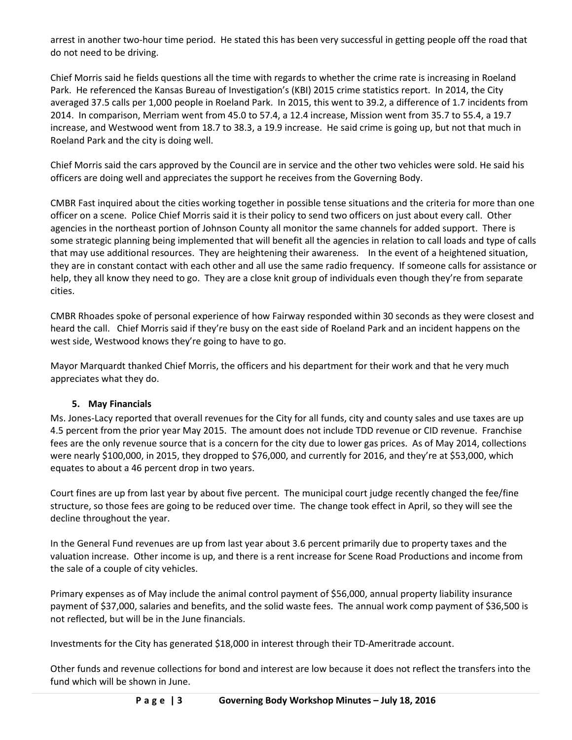arrest in another two-hour time period. He stated this has been very successful in getting people off the road that do not need to be driving.

Chief Morris said he fields questions all the time with regards to whether the crime rate is increasing in Roeland Park. He referenced the Kansas Bureau of Investigation's (KBI) 2015 crime statistics report. In 2014, the City averaged 37.5 calls per 1,000 people in Roeland Park. In 2015, this went to 39.2, a difference of 1.7 incidents from 2014. In comparison, Merriam went from 45.0 to 57.4, a 12.4 increase, Mission went from 35.7 to 55.4, a 19.7 increase, and Westwood went from 18.7 to 38.3, a 19.9 increase. He said crime is going up, but not that much in Roeland Park and the city is doing well.

Chief Morris said the cars approved by the Council are in service and the other two vehicles were sold. He said his officers are doing well and appreciates the support he receives from the Governing Body.

CMBR Fast inquired about the cities working together in possible tense situations and the criteria for more than one officer on a scene. Police Chief Morris said it is their policy to send two officers on just about every call. Other agencies in the northeast portion of Johnson County all monitor the same channels for added support. There is some strategic planning being implemented that will benefit all the agencies in relation to call loads and type of calls that may use additional resources. They are heightening their awareness. In the event of a heightened situation, they are in constant contact with each other and all use the same radio frequency. If someone calls for assistance or help, they all know they need to go. They are a close knit group of individuals even though they're from separate cities.

CMBR Rhoades spoke of personal experience of how Fairway responded within 30 seconds as they were closest and heard the call. Chief Morris said if they're busy on the east side of Roeland Park and an incident happens on the west side, Westwood knows they're going to have to go.

Mayor Marquardt thanked Chief Morris, the officers and his department for their work and that he very much appreciates what they do.

# **5. May Financials**

Ms. Jones-Lacy reported that overall revenues for the City for all funds, city and county sales and use taxes are up 4.5 percent from the prior year May 2015. The amount does not include TDD revenue or CID revenue. Franchise fees are the only revenue source that is a concern for the city due to lower gas prices. As of May 2014, collections were nearly \$100,000, in 2015, they dropped to \$76,000, and currently for 2016, and they're at \$53,000, which equates to about a 46 percent drop in two years.

Court fines are up from last year by about five percent. The municipal court judge recently changed the fee/fine structure, so those fees are going to be reduced over time. The change took effect in April, so they will see the decline throughout the year.

In the General Fund revenues are up from last year about 3.6 percent primarily due to property taxes and the valuation increase. Other income is up, and there is a rent increase for Scene Road Productions and income from the sale of a couple of city vehicles.

Primary expenses as of May include the animal control payment of \$56,000, annual property liability insurance payment of \$37,000, salaries and benefits, and the solid waste fees. The annual work comp payment of \$36,500 is not reflected, but will be in the June financials.

Investments for the City has generated \$18,000 in interest through their TD-Ameritrade account.

Other funds and revenue collections for bond and interest are low because it does not reflect the transfers into the fund which will be shown in June.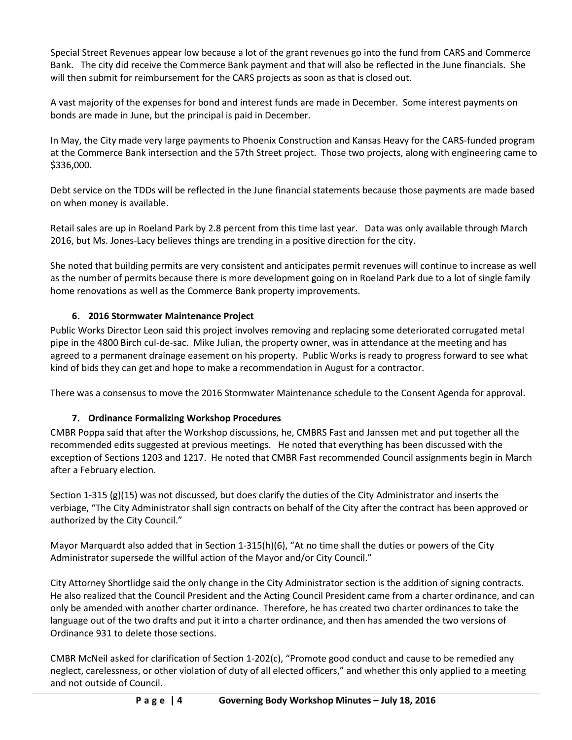Special Street Revenues appear low because a lot of the grant revenues go into the fund from CARS and Commerce Bank. The city did receive the Commerce Bank payment and that will also be reflected in the June financials. She will then submit for reimbursement for the CARS projects as soon as that is closed out.

A vast majority of the expenses for bond and interest funds are made in December. Some interest payments on bonds are made in June, but the principal is paid in December.

In May, the City made very large payments to Phoenix Construction and Kansas Heavy for the CARS-funded program at the Commerce Bank intersection and the 57th Street project. Those two projects, along with engineering came to \$336,000.

Debt service on the TDDs will be reflected in the June financial statements because those payments are made based on when money is available.

Retail sales are up in Roeland Park by 2.8 percent from this time last year. Data was only available through March 2016, but Ms. Jones-Lacy believes things are trending in a positive direction for the city.

She noted that building permits are very consistent and anticipates permit revenues will continue to increase as well as the number of permits because there is more development going on in Roeland Park due to a lot of single family home renovations as well as the Commerce Bank property improvements.

## **6. 2016 Stormwater Maintenance Project**

Public Works Director Leon said this project involves removing and replacing some deteriorated corrugated metal pipe in the 4800 Birch cul-de-sac. Mike Julian, the property owner, was in attendance at the meeting and has agreed to a permanent drainage easement on his property. Public Works is ready to progress forward to see what kind of bids they can get and hope to make a recommendation in August for a contractor.

There was a consensus to move the 2016 Stormwater Maintenance schedule to the Consent Agenda for approval.

## **7. Ordinance Formalizing Workshop Procedures**

CMBR Poppa said that after the Workshop discussions, he, CMBRS Fast and Janssen met and put together all the recommended edits suggested at previous meetings. He noted that everything has been discussed with the exception of Sections 1203 and 1217. He noted that CMBR Fast recommended Council assignments begin in March after a February election.

Section 1-315 (g)(15) was not discussed, but does clarify the duties of the City Administrator and inserts the verbiage, "The City Administrator shall sign contracts on behalf of the City after the contract has been approved or authorized by the City Council."

Mayor Marquardt also added that in Section 1-315(h)(6), "At no time shall the duties or powers of the City Administrator supersede the willful action of the Mayor and/or City Council."

City Attorney Shortlidge said the only change in the City Administrator section is the addition of signing contracts. He also realized that the Council President and the Acting Council President came from a charter ordinance, and can only be amended with another charter ordinance. Therefore, he has created two charter ordinances to take the language out of the two drafts and put it into a charter ordinance, and then has amended the two versions of Ordinance 931 to delete those sections.

CMBR McNeil asked for clarification of Section 1-202(c), "Promote good conduct and cause to be remedied any neglect, carelessness, or other violation of duty of all elected officers," and whether this only applied to a meeting and not outside of Council.